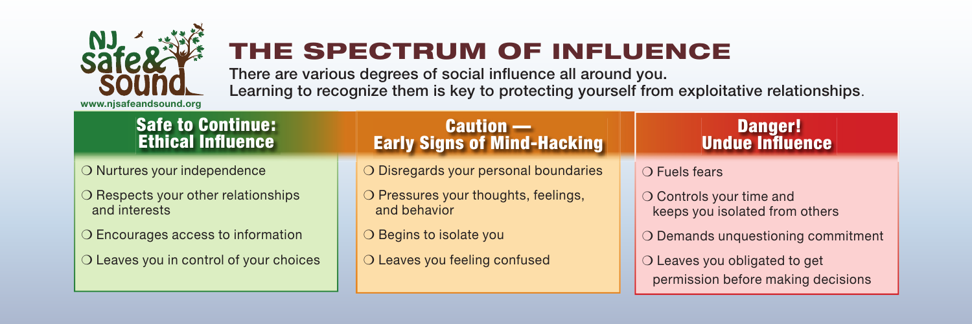

# THE SPECTRUM OF INFLUENCE

There are various degrees of social influence all around you. Learning to recognize them is key to protecting yourself from exploitative relationships.

#### Safe to Continue: **Ethical Influence**

❍ Nurtures your independence

- O Respects your other relationships and interests
- ❍ Encourages access to information
- O Leaves you in control of your choices

### Caution — Early Signs of Mind-Hacking

❍ Disregards your personal boundaries

O Pressures your thoughts, feelings, and behavior

❍ Begins to isolate you

O Leaves you feeling confused

#### Danger! **Undue Influence**

❍ Fuels fears

O Controls your time and keeps you isolated from others

O Demands unquestioning commitment

❍ Leaves you obligated to get permission before making decisions